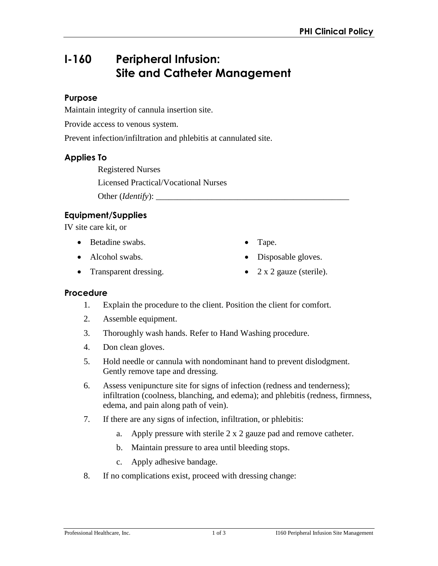# **I-160 Peripheral Infusion: Site and Catheter Management**

#### **Purpose**

Maintain integrity of cannula insertion site.

Provide access to venous system.

Prevent infection/infiltration and phlebitis at cannulated site.

## **Applies To**

Registered Nurses Licensed Practical/Vocational Nurses

Other (*Identify*):

# **Equipment/Supplies**

IV site care kit, or

- Betadine swabs.
- Alcohol swabs.
- Transparent dressing.
- Tape.
- Disposable gloves.
- 2 x 2 gauze (sterile).

#### **Procedure**

- 1. Explain the procedure to the client. Position the client for comfort.
- 2. Assemble equipment.
- 3. Thoroughly wash hands. Refer to Hand Washing procedure.
- 4. Don clean gloves.
- 5. Hold needle or cannula with nondominant hand to prevent dislodgment. Gently remove tape and dressing.
- 6. Assess venipuncture site for signs of infection (redness and tenderness); infiltration (coolness, blanching, and edema); and phlebitis (redness, firmness, edema, and pain along path of vein).
- 7. If there are any signs of infection, infiltration, or phlebitis:
	- a. Apply pressure with sterile 2 x 2 gauze pad and remove catheter.
	- b. Maintain pressure to area until bleeding stops.
	- c. Apply adhesive bandage.
- 8. If no complications exist, proceed with dressing change: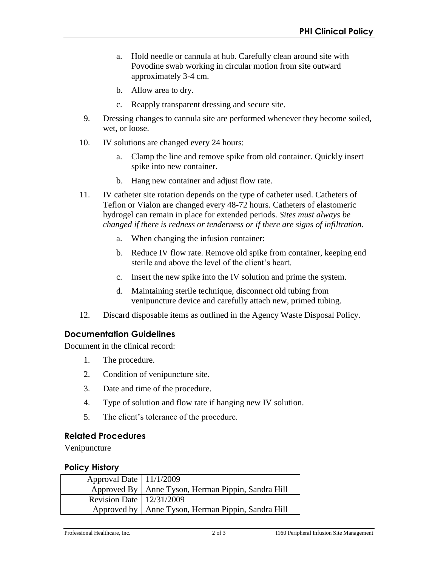- a. Hold needle or cannula at hub. Carefully clean around site with Povodine swab working in circular motion from site outward approximately 3-4 cm.
- b. Allow area to dry.
- c. Reapply transparent dressing and secure site.
- 9. Dressing changes to cannula site are performed whenever they become soiled, wet, or loose.
- 10. IV solutions are changed every 24 hours:
	- a. Clamp the line and remove spike from old container. Quickly insert spike into new container.
	- b. Hang new container and adjust flow rate.
- 11. IV catheter site rotation depends on the type of catheter used. Catheters of Teflon or Vialon are changed every 48-72 hours. Catheters of elastomeric hydrogel can remain in place for extended periods. *Sites must always be changed if there is redness or tenderness or if there are signs of infiltration.*
	- a. When changing the infusion container:
	- b. Reduce IV flow rate. Remove old spike from container, keeping end sterile and above the level of the client's heart.
	- c. Insert the new spike into the IV solution and prime the system.
	- d. Maintaining sterile technique, disconnect old tubing from venipuncture device and carefully attach new, primed tubing.
- 12. Discard disposable items as outlined in the Agency Waste Disposal Policy.

# **Documentation Guidelines**

Document in the clinical record:

- 1. The procedure.
- 2. Condition of venipuncture site.
- 3. Date and time of the procedure.
- 4. Type of solution and flow rate if hanging new IV solution.
- 5. The client's tolerance of the procedure.

## **Related Procedures**

Venipuncture

## **Policy History**

| Approval Date $\vert$ 11/1/2009 |                                                      |
|---------------------------------|------------------------------------------------------|
|                                 | Approved By   Anne Tyson, Herman Pippin, Sandra Hill |
| Revision Date   $12/31/2009$    |                                                      |
|                                 | Approved by   Anne Tyson, Herman Pippin, Sandra Hill |